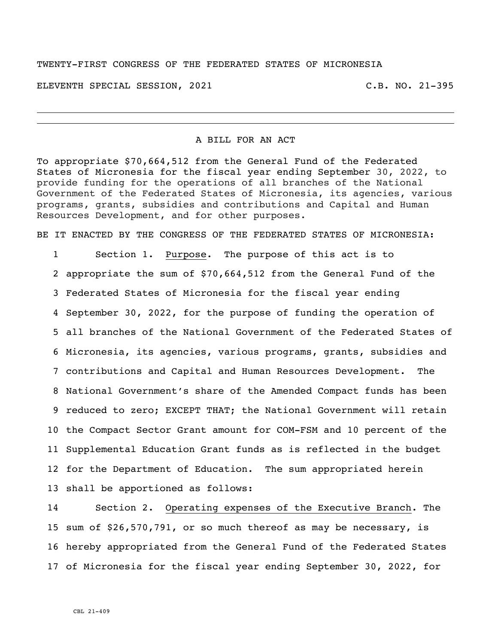#### TWENTY-FIRST CONGRESS OF THE FEDERATED STATES OF MICRONESIA

ELEVENTH SPECIAL SESSION, 2021 C.B. NO. 21-395

A BILL FOR AN ACT

To appropriate \$70,664,512 from the General Fund of the Federated States of Micronesia for the fiscal year ending September 30, 2022, to provide funding for the operations of all branches of the National Government of the Federated States of Micronesia, its agencies, various programs, grants, subsidies and contributions and Capital and Human Resources Development, and for other purposes.

BE IT ENACTED BY THE CONGRESS OF THE FEDERATED STATES OF MICRONESIA:

 Section 1. Purpose. The purpose of this act is to appropriate the sum of \$70,664,512 from the General Fund of the Federated States of Micronesia for the fiscal year ending September 30, 2022, for the purpose of funding the operation of all branches of the National Government of the Federated States of Micronesia, its agencies, various programs, grants, subsidies and contributions and Capital and Human Resources Development. The National Government's share of the Amended Compact funds has been reduced to zero; EXCEPT THAT; the National Government will retain the Compact Sector Grant amount for COM-FSM and 10 percent of the Supplemental Education Grant funds as is reflected in the budget for the Department of Education. The sum appropriated herein shall be apportioned as follows:

 Section 2. Operating expenses of the Executive Branch. The sum of \$26,570,791, or so much thereof as may be necessary, is hereby appropriated from the General Fund of the Federated States of Micronesia for the fiscal year ending September 30, 2022, for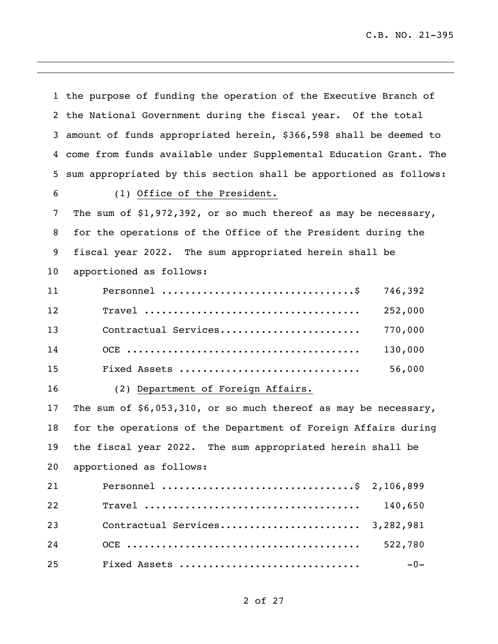C.B. NO. 21-395

|    | 1 the purpose of funding the operation of the Executive Branch of |  |
|----|-------------------------------------------------------------------|--|
|    | 2 the National Government during the fiscal year. Of the total    |  |
| 3  | amount of funds appropriated herein, \$366,598 shall be deemed to |  |
| 4  | come from funds available under Supplemental Education Grant. The |  |
| 5  | sum appropriated by this section shall be apportioned as follows: |  |
| 6  | (1) Office of the President.                                      |  |
| 7  | The sum of $$1,972,392$ , or so much thereof as may be necessary, |  |
| 8  | for the operations of the Office of the President during the      |  |
| 9  | fiscal year 2022. The sum appropriated herein shall be            |  |
| 10 | apportioned as follows:                                           |  |
| 11 | 746,392                                                           |  |
| 12 | $\texttt{True}$<br>252,000                                        |  |
| 13 | Contractual Services<br>770,000                                   |  |
| 14 | 130,000                                                           |  |
| 15 | 56,000<br>Fixed Assets                                            |  |
| 16 | (2) Department of Foreign Affairs.                                |  |
| 17 | The sum of $$6,053,310$ , or so much thereof as may be necessary, |  |
| 18 | for the operations of the Department of Foreign Affairs during    |  |
| 19 | the fiscal year 2022. The sum appropriated herein shall be        |  |
| 20 | apportioned as follows:                                           |  |
| 21 | 2,106,899                                                         |  |
| 22 | 140,650                                                           |  |
| 23 | Contractual Services<br>3,282,981                                 |  |
| 24 | 522,780                                                           |  |
| 25 | Fixed Assets<br>$-0-$                                             |  |

<u> 1989 - Johann Stoff, amerikansk politiker (d. 1989)</u>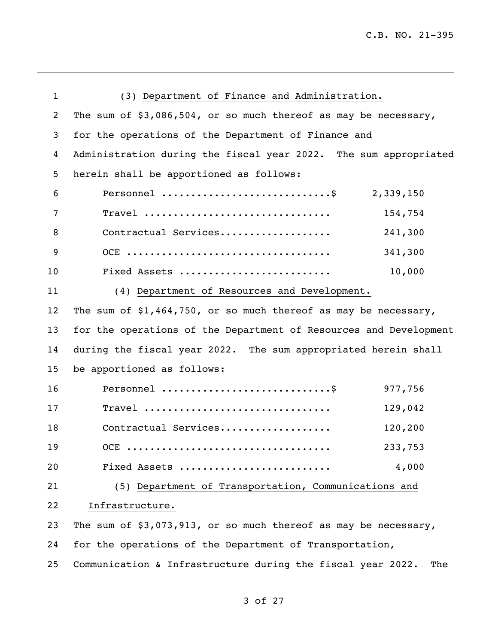| $\mathbf{1}$   | (3) Department of Finance and Administration.                      |  |
|----------------|--------------------------------------------------------------------|--|
| $\overline{2}$ | The sum of \$3,086,504, or so much thereof as may be necessary,    |  |
| 3              | for the operations of the Department of Finance and                |  |
| 4              | Administration during the fiscal year 2022. The sum appropriated   |  |
| 5              | herein shall be apportioned as follows:                            |  |
| 6              | Personnel \$ 2,339,150                                             |  |
| 7              | Travel<br>154,754                                                  |  |
| 8              | Contractual Services<br>241,300                                    |  |
| 9              | 341,300                                                            |  |
| 10             | Fixed Assets<br>10,000                                             |  |
| 11             | (4) Department of Resources and Development.                       |  |
| 12             | The sum of \$1,464,750, or so much thereof as may be necessary,    |  |
| 13             | for the operations of the Department of Resources and Development  |  |
| 14             | during the fiscal year 2022. The sum appropriated herein shall     |  |
| 15             | be apportioned as follows:                                         |  |
| 16             | Personnel \$<br>977,756                                            |  |
| 17             | Travel<br>129,042                                                  |  |
| 18             | Contractual Services<br>120,200                                    |  |
| 19             | 233,753                                                            |  |
| 20             | 4,000<br>Fixed Assets                                              |  |
| 21             | (5) Department of Transportation, Communications and               |  |
| 22             | Infrastructure.                                                    |  |
| 23             | The sum of $$3,073,913$ , or so much thereof as may be necessary,  |  |
| 24             | for the operations of the Department of Transportation,            |  |
| 25             | Communication & Infrastructure during the fiscal year 2022.<br>The |  |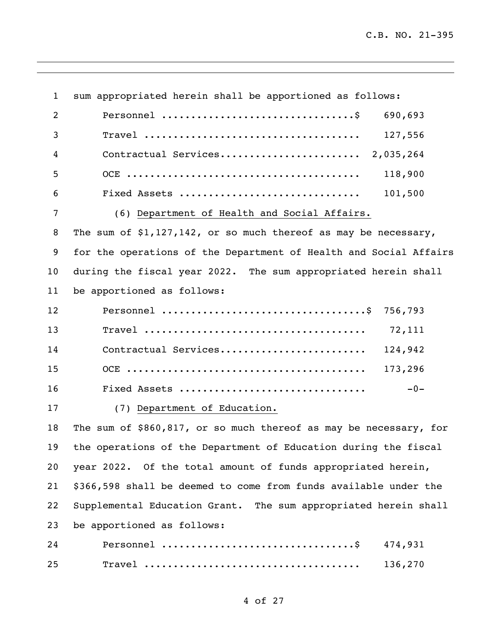<u> 1989 - Johann Barbara, martxa amerikan personal (h. 1989).</u>

| $\mathbf{1}$ | sum appropriated herein shall be apportioned as follows:          |  |  |
|--------------|-------------------------------------------------------------------|--|--|
| 2            | 690,693                                                           |  |  |
| 3            | 127,556                                                           |  |  |
| 4            |                                                                   |  |  |
| 5            | 118,900                                                           |  |  |
| 6            | 101,500<br>Fixed Assets                                           |  |  |
| 7            | (6) Department of Health and Social Affairs.                      |  |  |
| 8            | The sum of $$1,127,142$ , or so much thereof as may be necessary, |  |  |
| 9            | for the operations of the Department of Health and Social Affairs |  |  |
| 10           | during the fiscal year 2022. The sum appropriated herein shall    |  |  |
|              |                                                                   |  |  |
| 11           | be apportioned as follows:                                        |  |  |
| 12           |                                                                   |  |  |
| 13           | 72,111                                                            |  |  |
| 14           | Contractual Services<br>124,942                                   |  |  |
| 15           | 173,296                                                           |  |  |
| 16           | Fixed Assets<br>$-0-$                                             |  |  |
| 17           | (7) Department of Education.                                      |  |  |
| 18           | The sum of \$860,817, or so much thereof as may be necessary, for |  |  |
| 19           | the operations of the Department of Education during the fiscal   |  |  |
| 20           | year 2022. Of the total amount of funds appropriated herein,      |  |  |
| 21           | \$366,598 shall be deemed to come from funds available under the  |  |  |
| 22           | Supplemental Education Grant. The sum appropriated herein shall   |  |  |
| 23           | be apportioned as follows:                                        |  |  |
| 24           | 474,931                                                           |  |  |
| 25           | 136,270                                                           |  |  |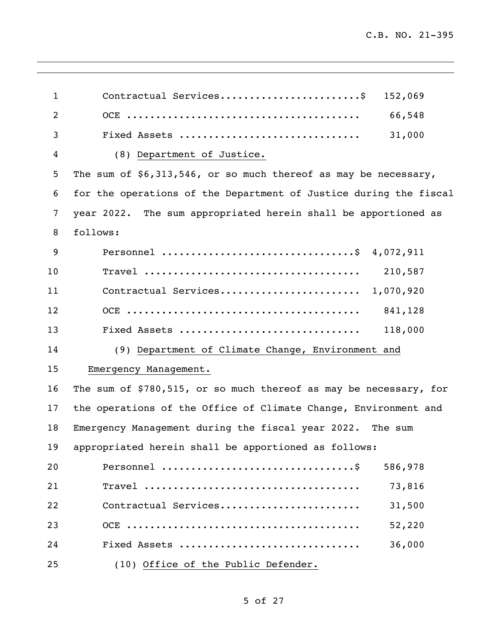| $\mathbf{1}$   | Contractual Services\$<br>152,069                                 |  |
|----------------|-------------------------------------------------------------------|--|
| $\overline{2}$ | 66,548                                                            |  |
| 3              | 31,000<br>Fixed Assets                                            |  |
| 4              | (8) Department of Justice.                                        |  |
| 5              | The sum of $$6,313,546$ , or so much thereof as may be necessary, |  |
| 6              | for the operations of the Department of Justice during the fiscal |  |
| 7              | year 2022. The sum appropriated herein shall be apportioned as    |  |
| 8              | follows:                                                          |  |
| 9              |                                                                   |  |
| 10             | 210,587                                                           |  |
| 11             | Contractual Services 1,070,920                                    |  |
| 12             | 841,128                                                           |  |
| 13             | 118,000<br>Fixed Assets                                           |  |
| 14             | (9) Department of Climate Change, Environment and                 |  |
| 15             | Emergency Management.                                             |  |
| 16             | The sum of \$780,515, or so much thereof as may be necessary, for |  |
| 17             | the operations of the Office of Climate Change, Environment and   |  |
| 18             | Emergency Management during the fiscal year 2022. The sum         |  |
| 19             | appropriated herein shall be apportioned as follows:              |  |
| 20             | 586,978                                                           |  |
| 21             | 73,816                                                            |  |
| 22             | Contractual Services<br>31,500                                    |  |
| 23             | 52,220                                                            |  |
| 24             | Fixed Assets<br>36,000                                            |  |
| 25             | (10) Office of the Public Defender.                               |  |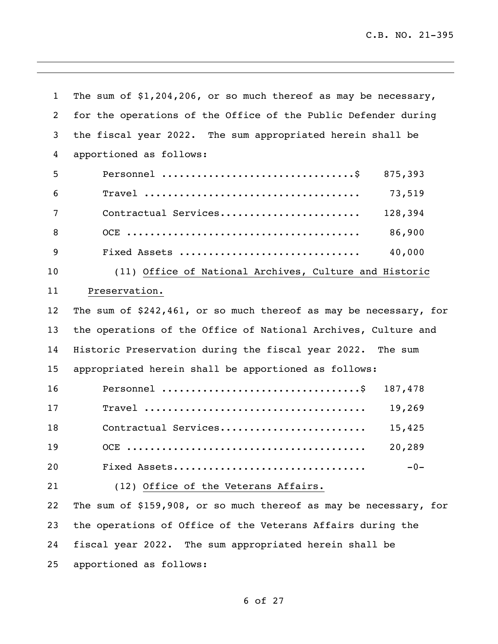J.

| $\mathbf{1}$ | The sum of $$1,204,206$ , or so much thereof as may be necessary,              |  |
|--------------|--------------------------------------------------------------------------------|--|
| 2            | for the operations of the Office of the Public Defender during                 |  |
| 3            | the fiscal year 2022. The sum appropriated herein shall be                     |  |
| 4            | apportioned as follows:                                                        |  |
| 5            | 875,393                                                                        |  |
| 6            | 73,519                                                                         |  |
| 7            | 128,394<br>Contractual Services                                                |  |
| 8            | 86,900                                                                         |  |
| 9            | 40,000<br>Fixed Assets                                                         |  |
| 10           | (11) Office of National Archives, Culture and Historic                         |  |
| 11           | Preservation.                                                                  |  |
| $12 \,$      | The sum of $$242,461$ , or so much thereof as may be necessary, for            |  |
| 13           | the operations of the Office of National Archives, Culture and                 |  |
| 14           | Historic Preservation during the fiscal year 2022. The sum                     |  |
| 15           | appropriated herein shall be apportioned as follows:                           |  |
| 16           | Personnel $\dots\dots\dots\dots\dots\dots\dots\dots\dots\dots\dots$<br>187,478 |  |
| 17           | 19,269                                                                         |  |
| 18           | Contractual Services<br>15,425                                                 |  |
| 19           | 20,289                                                                         |  |
| 20           | Fixed Assets<br>$-0-$                                                          |  |
| 21           | (12) Office of the Veterans Affairs.                                           |  |
| 22           | The sum of \$159,908, or so much thereof as may be necessary, for              |  |
| 23           | the operations of Office of the Veterans Affairs during the                    |  |
| 24           | fiscal year 2022. The sum appropriated herein shall be                         |  |
| 25           | apportioned as follows:                                                        |  |

<u> 1989 - Johann Stoff, amerikansk politiker (d. 1989)</u>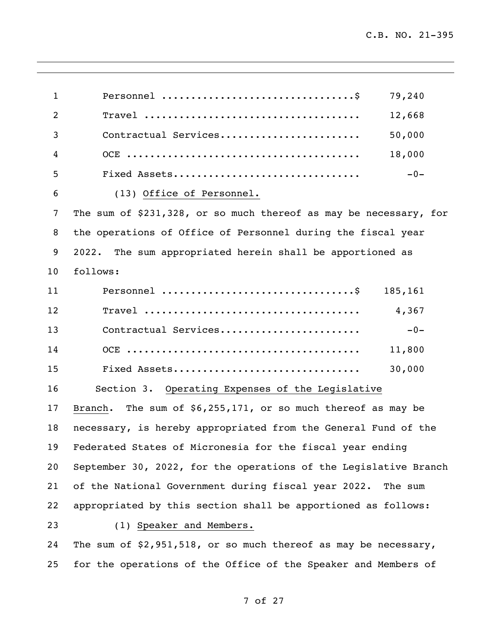| $\mathbf{1}$   | 79,240                                                            |  |
|----------------|-------------------------------------------------------------------|--|
| $\overline{2}$ | 12,668                                                            |  |
| 3              | 50,000<br>Contractual Services                                    |  |
| 4              | 18,000                                                            |  |
| 5              | $-0-$<br>Fixed Assets                                             |  |
| 6              | (13) Office of Personnel.                                         |  |
| 7              | The sum of \$231,328, or so much thereof as may be necessary, for |  |
| 8              | the operations of Office of Personnel during the fiscal year      |  |
| 9              | 2022. The sum appropriated herein shall be apportioned as         |  |
| 10             | follows:                                                          |  |
| 11             | 185,161                                                           |  |
| 12             | 4,367                                                             |  |
| 13             | Contractual Services<br>$-0-$                                     |  |
| 14             | 11,800                                                            |  |
| 15             | Fixed Assets<br>30,000                                            |  |
| 16             | Section 3. Operating Expenses of the Legislative                  |  |
| 17             | Branch. The sum of $$6,255,171$ , or so much thereof as may be    |  |
| 18             | necessary, is hereby appropriated from the General Fund of the    |  |
| 19             | Federated States of Micronesia for the fiscal year ending         |  |
| 20             | September 30, 2022, for the operations of the Legislative Branch  |  |
| 21             | of the National Government during fiscal year 2022.<br>The sum    |  |
| 22             | appropriated by this section shall be apportioned as follows:     |  |
| 23             | (1) Speaker and Members.                                          |  |
| 24             | The sum of $$2,951,518$ , or so much thereof as may be necessary, |  |
| 25             | for the operations of the Office of the Speaker and Members of    |  |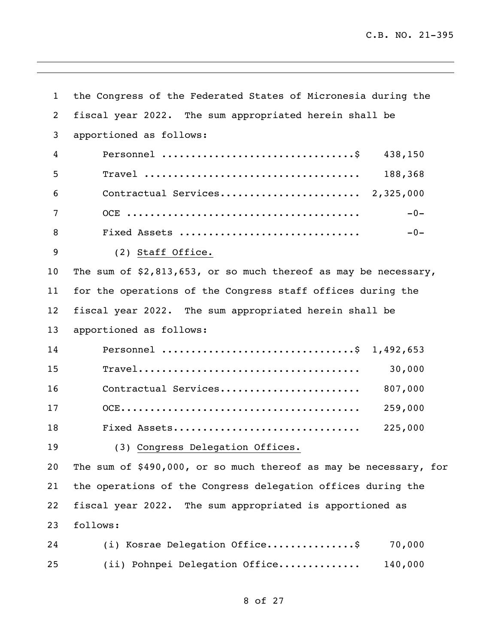| $\mathbf{1}$ | the Congress of the Federated States of Micronesia during the                  |  |
|--------------|--------------------------------------------------------------------------------|--|
| 2            | fiscal year 2022. The sum appropriated herein shall be                         |  |
| 3            | apportioned as follows:                                                        |  |
| 4            | Personnel $\dots\dots\dots\dots\dots\dots\dots\dots\dots\dots\dots$<br>438,150 |  |
| 5            | 188,368                                                                        |  |
| 6            | Contractual Services 2,325,000                                                 |  |
| 7            | $-0-$                                                                          |  |
| 8            | Fixed Assets<br>$-0-$                                                          |  |
| 9            | (2) Staff Office.                                                              |  |
| 10           | The sum of $$2,813,653$ , or so much thereof as may be necessary,              |  |
| 11           | for the operations of the Congress staff offices during the                    |  |
| 12           | fiscal year 2022. The sum appropriated herein shall be                         |  |
| 13           | apportioned as follows:                                                        |  |
| 14           | Personnel \$ 1,492,653                                                         |  |
| 15           | 30,000                                                                         |  |
| 16           | Contractual Services<br>807,000                                                |  |
| 17           | 259,000                                                                        |  |
| 18           | 225,000<br>Fixed Assets                                                        |  |
| 19           | (3) Congress Delegation Offices.                                               |  |
| 20           | The sum of \$490,000, or so much thereof as may be necessary, for              |  |
| 21           | the operations of the Congress delegation offices during the                   |  |
| 22           | fiscal year 2022. The sum appropriated is apportioned as                       |  |
| 23           | follows:                                                                       |  |
| 24           | (i) Kosrae Delegation Office\$<br>70,000                                       |  |
| 25           | 140,000<br>(ii) Pohnpei Delegation Office                                      |  |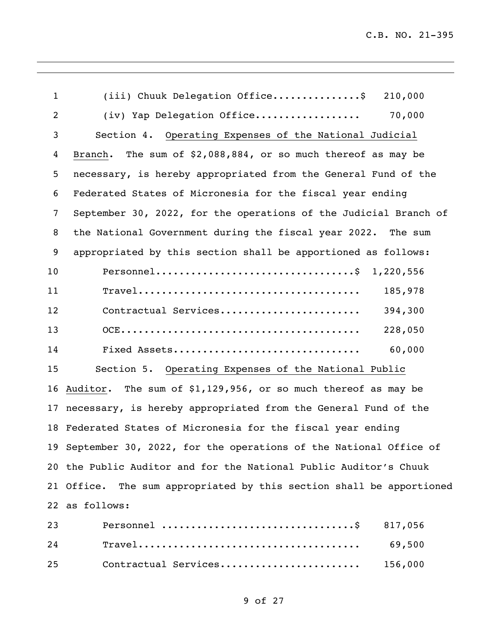| $\mathbf{1}$   | $(iii)$ Chuuk Delegation Office\$<br>210,000                                                                    |
|----------------|-----------------------------------------------------------------------------------------------------------------|
| $\overline{2}$ | (iv) Yap Delegation Office<br>70,000                                                                            |
| 3              | Section 4. Operating Expenses of the National Judicial                                                          |
| 4              | The sum of $$2,088,884$ , or so much thereof as may be<br>Branch.                                               |
| 5              | necessary, is hereby appropriated from the General Fund of the                                                  |
| 6              | Federated States of Micronesia for the fiscal year ending                                                       |
| 7              | September 30, 2022, for the operations of the Judicial Branch of                                                |
| 8              | the National Government during the fiscal year 2022. The sum                                                    |
| 9              | appropriated by this section shall be apportioned as follows:                                                   |
| 10             | Personnel\$ 1,220,556                                                                                           |
| 11             | 185,978<br>$\texttt{True}1 \dots \dots \dots \dots \dots \dots \dots \dots \dots \dots \dots \dots \dots \dots$ |
| 12             | Contractual Services<br>394,300                                                                                 |
| 13             | 228,050                                                                                                         |
| 14             | 60,000<br>Fixed Assets                                                                                          |
| 15             | Section 5. Operating Expenses of the National Public                                                            |
|                | 16 Auditor. The sum of \$1,129,956, or so much thereof as may be                                                |
|                | 17 necessary, is hereby appropriated from the General Fund of the                                               |
|                | 18 Federated States of Micronesia for the fiscal year ending                                                    |
|                | 19 September 30, 2022, for the operations of the National Office of                                             |
|                | 20 the Public Auditor and for the National Public Auditor's Chuuk                                               |
|                | 21 Office. The sum appropriated by this section shall be apportioned                                            |
|                | 22 as follows:                                                                                                  |
| 23             | 817,056                                                                                                         |

| 24 | $\mathtt{Travel} \ldots \ldots \ldots \ldots \ldots \ldots \ldots \ldots \ldots \ldots \ldots$ | 69.500  |
|----|------------------------------------------------------------------------------------------------|---------|
| 25 | Contractual Services                                                                           | 156,000 |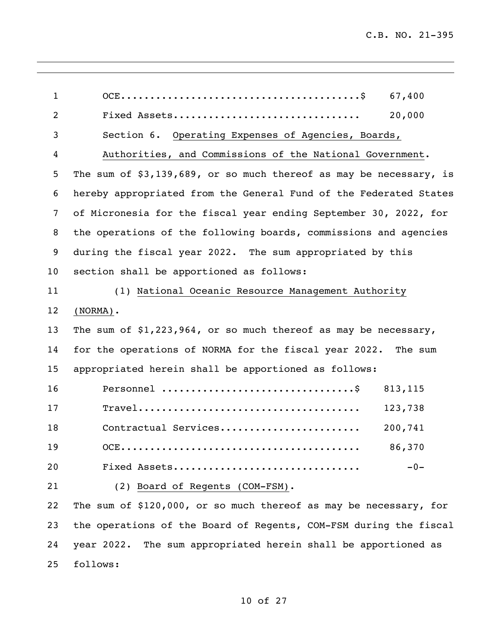| $\mathbf{1}$   | 67,400                                                                                                    |  |  |  |
|----------------|-----------------------------------------------------------------------------------------------------------|--|--|--|
| $\overline{2}$ | 20,000<br>Fixed Assets                                                                                    |  |  |  |
| 3              | Section 6. Operating Expenses of Agencies, Boards,                                                        |  |  |  |
| 4              | Authorities, and Commissions of the National Government.                                                  |  |  |  |
| 5              | The sum of \$3,139,689, or so much thereof as may be necessary, is                                        |  |  |  |
| 6              | hereby appropriated from the General Fund of the Federated States                                         |  |  |  |
| 7              | of Micronesia for the fiscal year ending September 30, 2022, for                                          |  |  |  |
| 8              | the operations of the following boards, commissions and agencies                                          |  |  |  |
| 9              | during the fiscal year 2022. The sum appropriated by this                                                 |  |  |  |
| 10             | section shall be apportioned as follows:                                                                  |  |  |  |
| 11             | (1) National Oceanic Resource Management Authority                                                        |  |  |  |
| $12 \,$        | $(NORMAL)$ .                                                                                              |  |  |  |
| 13             | The sum of $$1,223,964$ , or so much thereof as may be necessary,                                         |  |  |  |
| 14             | for the operations of NORMA for the fiscal year 2022. The sum                                             |  |  |  |
| 15             | appropriated herein shall be apportioned as follows:                                                      |  |  |  |
| 16             | Personnel $\dots\dots\dots\dots\dots\dots\dots\dots\dots\dots\dots$<br>813, 115                           |  |  |  |
| 17             | $\texttt{True}1 \dots \dots \dots \dots \dots \dots \dots \dots \dots \dots \dots \dots \dots$<br>123,738 |  |  |  |
| 18             | Contractual Services<br>200,741                                                                           |  |  |  |
| 19             | 86,370                                                                                                    |  |  |  |
| 20             | Fixed Assets<br>$-0-$                                                                                     |  |  |  |
| 21             | (2) Board of Regents (COM-FSM).                                                                           |  |  |  |
| 22             | The sum of \$120,000, or so much thereof as may be necessary, for                                         |  |  |  |
| 23             | the operations of the Board of Regents, COM-FSM during the fiscal                                         |  |  |  |

 year 2022. The sum appropriated herein shall be apportioned as follows: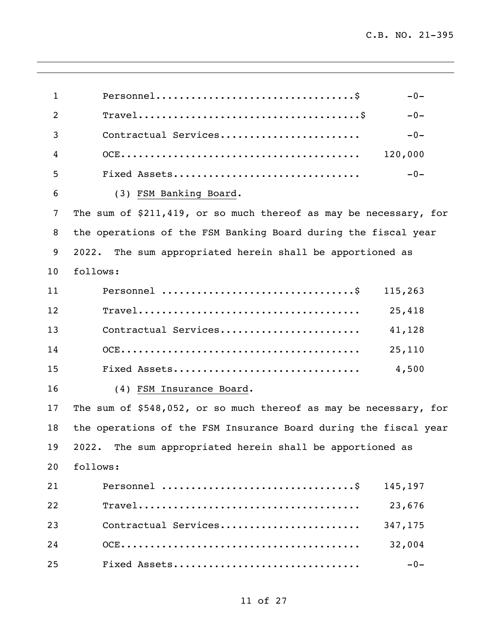| $\mathbf{1}$ | $Personnel \ldots \ldots \ldots \ldots \ldots \ldots \ldots \ldots \ldots \ldots \$<br>$-0-$            |
|--------------|---------------------------------------------------------------------------------------------------------|
| 2            | $\texttt{True}1 \dots \dots \dots \dots \dots \dots \dots \dots \dots \dots \dots \dots \dots$<br>$-0-$ |
| 3            | Contractual Services<br>$-0-$                                                                           |
| 4            | 120,000                                                                                                 |
| 5            | Fixed Assets<br>$-0-$                                                                                   |
| 6            | (3) FSM Banking Board.                                                                                  |
| 7            | The sum of $$211,419$ , or so much thereof as may be necessary, for                                     |
| 8            | the operations of the FSM Banking Board during the fiscal year                                          |
| 9            | The sum appropriated herein shall be apportioned as<br>2022.                                            |
| 10           | follows:                                                                                                |
| 11           | 115,263                                                                                                 |
| 12           | 25,418                                                                                                  |
| 13           | Contractual Services<br>41,128                                                                          |
| 14           | 25,110                                                                                                  |
| 15           | Fixed Assets<br>4,500                                                                                   |
| 16           | (4) FSM Insurance Board.                                                                                |
| 17           | The sum of \$548,052, or so much thereof as may be necessary, for                                       |
| 18           | the operations of the FSM Insurance Board during the fiscal year                                        |
| 19           | 2022. The sum appropriated herein shall be apportioned as                                               |
| 20           | follows:                                                                                                |
| 21           | 145,197                                                                                                 |
| 22           | 23,676                                                                                                  |
| 23           | Contractual Services<br>347,175                                                                         |
| 24           | 32,004                                                                                                  |
| 25           | Fixed Assets<br>$-0-$                                                                                   |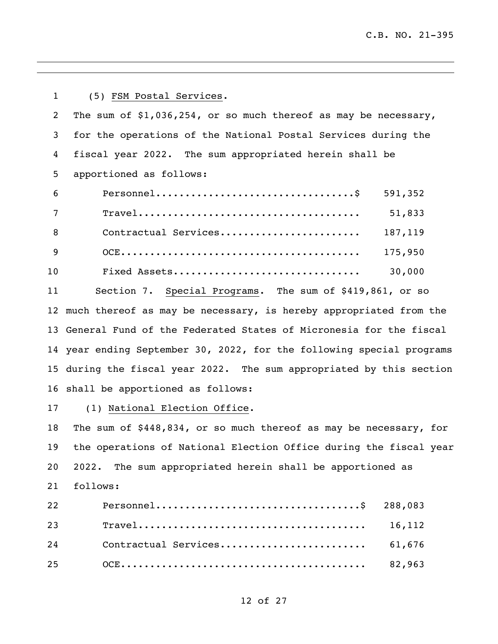(5) FSM Postal Services. The sum of \$1,036,254, or so much thereof as may be necessary, for the operations of the National Postal Services during the fiscal year 2022. The sum appropriated herein shall be apportioned as follows: Personnel..................................\$ 591,352 Travel...................................... 51,833 Contractual Services........................ 187,119 OCE......................................... 175,950 Fixed Assets................................ 30,000 Section 7. Special Programs. The sum of \$419,861, or so much thereof as may be necessary, is hereby appropriated from the General Fund of the Federated States of Micronesia for the fiscal year ending September 30, 2022, for the following special programs during the fiscal year 2022. The sum appropriated by this section shall be apportioned as follows: 17 (1) National Election Office. The sum of \$448,834, or so much thereof as may be necessary, for the operations of National Election Office during the fiscal year 2022. The sum appropriated herein shall be apportioned as follows: Personnel...................................\$ 288,083 Travel....................................... 16,112

Contractual Services......................... 61,676

OCE.......................................... 82,963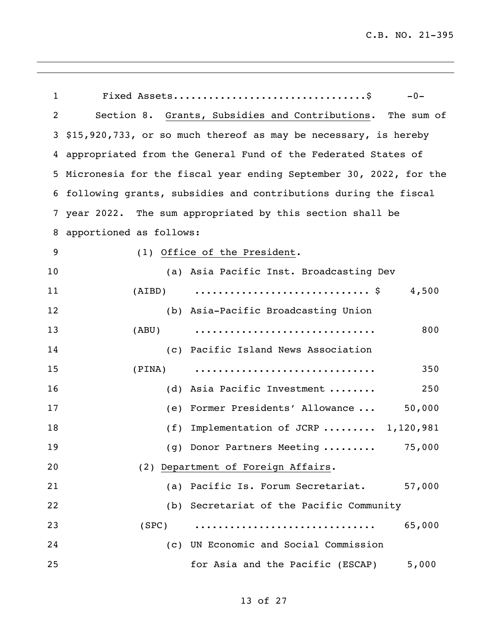| $\mathbf 1$ |                         | $-0-$                                                                             |
|-------------|-------------------------|-----------------------------------------------------------------------------------|
| 2           |                         | Section 8. Grants, Subsidies and Contributions. The sum of                        |
| 3           |                         | \$15,920,733, or so much thereof as may be necessary, is hereby                   |
|             |                         | 4 appropriated from the General Fund of the Federated States of                   |
| 5.          |                         | Micronesia for the fiscal year ending September 30, 2022, for the                 |
|             |                         | 6 following grants, subsidies and contributions during the fiscal                 |
| 7           |                         | year 2022. The sum appropriated by this section shall be                          |
| 8           | apportioned as follows: |                                                                                   |
| 9           |                         | (1) Office of the President.                                                      |
| 10          |                         | (a) Asia Pacific Inst. Broadcasting Dev                                           |
| 11          | (AIBD)                  | $\ldots \ldots \ldots \ldots \ldots \ldots \ldots \ldots \ldots \text{ }$ \$4,500 |
| 12          |                         | (b) Asia-Pacific Broadcasting Union                                               |
| 13          | (ABU)                   | 800                                                                               |
| 14          |                         | (c) Pacific Island News Association                                               |
| 15          | (PINA)                  | 350                                                                               |
| 16          | (d)                     | Asia Pacific Investment<br>250                                                    |
| 17          | (e)                     | 50,000<br>Former Presidents' Allowance                                            |
| 18          | (f)                     | Implementation of JCRP  1,120,981                                                 |
| 19          |                         | (g) Donor Partners Meeting<br>75,000                                              |
| 20          |                         | (2) Department of Foreign Affairs.                                                |
| 21          |                         | (a) Pacific Is. Forum Secretariat. 57,000                                         |
| 22          |                         | (b) Secretariat of the Pacific Community                                          |
| 23          | (SPC)                   | 65,000                                                                            |
| 24          |                         | (c) UN Economic and Social Commission                                             |
| 25          |                         | for Asia and the Pacific (ESCAP)<br>5,000                                         |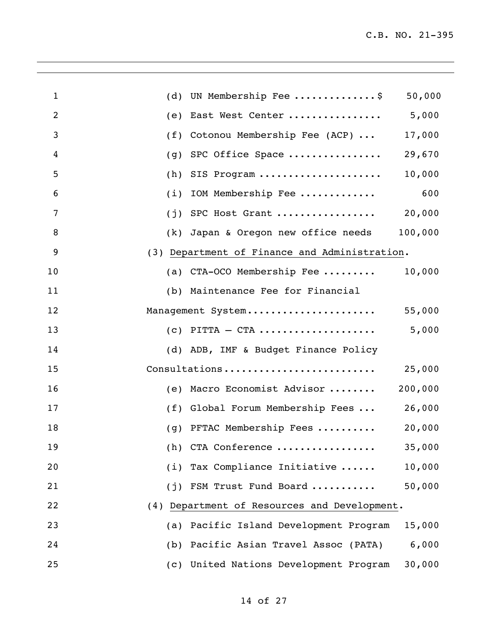| $\mathbf{1}$   | (d) UN Membership Fee \$<br>50,000                  |
|----------------|-----------------------------------------------------|
| $\overline{2}$ | 5,000<br>East West Center<br>(e)                    |
| 3              | (f) Cotonou Membership Fee (ACP) $\ldots$<br>17,000 |
| 4              | 29,670<br>SPC Office Space<br>(g)                   |
| 5              | 10,000<br>$(h)$ SIS Program                         |
| 6              | 600<br>IOM Membership Fee<br>(i)                    |
| 7              | 20,000<br>$(j)$ SPC Host Grant                      |
| 8              | 100,000<br>(k) Japan & Oregon new office needs      |
| 9              | (3) Department of Finance and Administration.       |
| 10             | (a) CTA-OCO Membership Fee<br>10,000                |
| 11             | (b) Maintenance Fee for Financial                   |
| 12             | 55,000<br>Management System                         |
| 13             | 5,000<br>$(c)$ PITTA $-$ CTA                        |
| 14             | (d) ADB, IMF & Budget Finance Policy                |
| 15             | Consultations<br>25,000                             |
| 16             | 200,000<br>(e) Macro Economist Advisor              |
| 17             | (f) Global Forum Membership Fees<br>26,000          |
| 18             | 20,000<br>(g) PFTAC Membership Fees                 |
| 19             | $(h)$ CTA Conference<br>35,000                      |
| 20             | $(i)$ Tax Compliance Initiative<br>10,000           |
| 21             | 50,000<br>FSM Trust Fund Board<br>(i)               |
| 22             | (4) Department of Resources and Development.        |
| 23             | Pacific Island Development Program<br>15,000<br>(a) |
| 24             | Pacific Asian Travel Assoc (PATA)<br>6,000<br>(b)   |
| 25             | (c) United Nations Development Program<br>30,000    |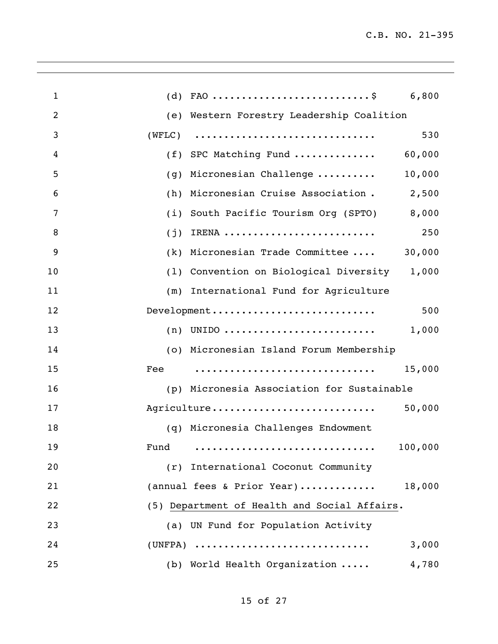| $\mathbf{1}$ | (d)    | FAO \$ 6,800                                 |         |
|--------------|--------|----------------------------------------------|---------|
| 2            |        | (e) Western Forestry Leadership Coalition    |         |
| 3            | (WFLC) |                                              | 530     |
| 4            |        | (f) SPC Matching Fund                        | 60,000  |
| 5            | (g)    | Micronesian Challenge                        | 10,000  |
| 6            | (h)    | Micronesian Cruise Association.              | 2,500   |
| 7            | (i)    | South Pacific Tourism Org (SPTO)             | 8,000   |
| 8            | (j)    | IRENA                                        | 250     |
| 9            |        | (k) Micronesian Trade Committee              | 30,000  |
| 10           |        | (1) Convention on Biological Diversity 1,000 |         |
| 11           | (m)    | International Fund for Agriculture           |         |
| 12           |        | Development                                  | 500     |
| 13           |        | $(n)$ UNIDO                                  | 1,000   |
| 14           |        | (o) Micronesian Island Forum Membership      |         |
| 15           | Fee    |                                              | 15,000  |
| 16           |        | (p) Micronesia Association for Sustainable   |         |
| 17           |        | Agriculture                                  | 50,000  |
| 18           |        | (q) Micronesia Challenges Endowment          |         |
| 19           |        |                                              | 100,000 |
| 20           | (r)    | International Coconut Community              |         |
| 21           |        | (annual fees & Prior Year)                   | 18,000  |
| 22           |        | (5) Department of Health and Social Affairs. |         |
| 23           |        | (a) UN Fund for Population Activity          |         |
| 24           |        | $(UNFPA)$                                    | 3,000   |
| 25           |        | (b) World Health Organization                | 4,780   |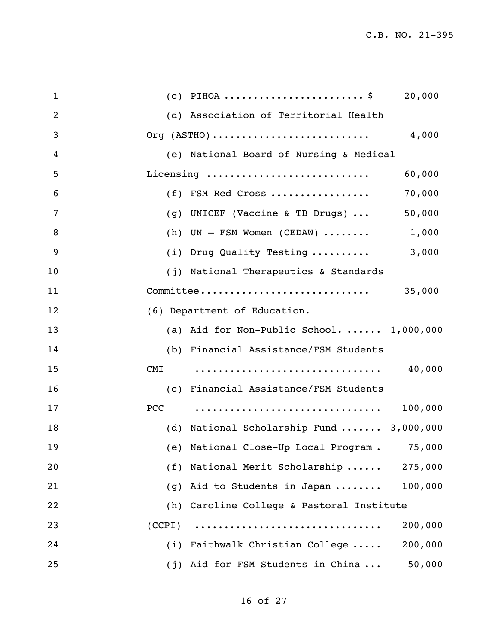| $\mathbf{1}$   |                              | $(c)$ PIHOA \$                                          | 20,000  |
|----------------|------------------------------|---------------------------------------------------------|---------|
| $\overline{2}$ |                              | (d) Association of Territorial Health                   |         |
| 3              | Org $(ASTHO)$                |                                                         | 4,000   |
| 4              |                              | (e) National Board of Nursing & Medical                 |         |
| 5              | Licensing                    |                                                         | 60,000  |
| 6              |                              | (f) FSM Red Cross                                       | 70,000  |
| 7              |                              | (g) UNICEF (Vaccine & TB Drugs) $\ldots$                | 50,000  |
| 8              |                              | (h) UN $-$ FSM Women (CEDAW)                            | 1,000   |
| 9              |                              | (i) Drug Quality Testing                                | 3,000   |
| 10             |                              | (j) National Therapeutics & Standards                   |         |
| 11             | Committee                    |                                                         | 35,000  |
| 12             | (6) Department of Education. |                                                         |         |
| 13             |                              | (a) Aid for Non-Public School. $1,000,000$              |         |
| 14             |                              | (b) Financial Assistance/FSM Students                   |         |
| 15             | <b>CMI</b>                   |                                                         | 40,000  |
| 16             |                              | (c) Financial Assistance/FSM Students                   |         |
| 17             | PCC                          |                                                         | 100,000 |
| 18             |                              | (d) National Scholarship Fund $\ldots \ldots$ 3,000,000 |         |
| 19             |                              | (e) National Close-Up Local Program. 75,000             |         |
| 20             |                              | (f) National Merit Scholarship                          | 275,000 |
| 21             |                              | (g) Aid to Students in Japan                            | 100,000 |
| 22             |                              | (h) Caroline College & Pastoral Institute               |         |
| 23             | (CCPI)                       |                                                         | 200,000 |
| 24             |                              | (i) Faithwalk Christian College                         | 200,000 |
| 25             |                              | (j) Aid for FSM Students in China                       | 50,000  |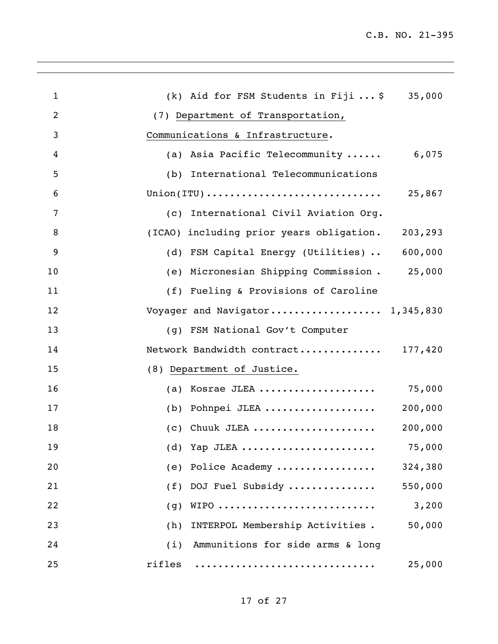| $\mathbf{1}$   | (k) Aid for FSM Students in Fiji $\ldots$ \$ 35,000                                                      |
|----------------|----------------------------------------------------------------------------------------------------------|
| $\overline{2}$ | (7) Department of Transportation,                                                                        |
| 3              | Communications & Infrastructure.                                                                         |
| 4              | 6,075<br>(a) Asia Pacific Telecommunity                                                                  |
| 5              | (b) International Telecommunications                                                                     |
| 6              | $\texttt{Union}(\texttt{ITU}) \texttt{} \dots \dots \dots \dots \dots \dots \dots \dots \dots$<br>25,867 |
| 7              | (c) International Civil Aviation Org.                                                                    |
| 8              | (ICAO) including prior years obligation.<br>203,293                                                      |
| 9              | (d) FSM Capital Energy (Utilities)  600,000                                                              |
| 10             | (e) Micronesian Shipping Commission . 25,000                                                             |
| 11             | (f) Fueling & Provisions of Caroline                                                                     |
| 12             | Voyager and Navigator 1,345,830                                                                          |
| 13             | (g) FSM National Gov't Computer                                                                          |
| 14             | Network Bandwidth contract 177,420                                                                       |
| 15             | (8) Department of Justice.                                                                               |
| 16             | (a) Kosrae JLEA<br>75,000                                                                                |
| 17             | (b) Pohnpei JLEA<br>200,000                                                                              |
| 18             | $(c)$ Chuuk JLEA<br>200,000                                                                              |
| 19             | 75,000<br>(d) Yap JLEA                                                                                   |
| 20             | 324,380<br>(e) Police Academy                                                                            |
| 21             | (f) DOJ Fuel Subsidy<br>550,000                                                                          |
| 22             | WIPO<br>3,200<br>(g)                                                                                     |
| 23             | INTERPOL Membership Activities.<br>50,000<br>(h)                                                         |
| 24             | Ammunitions for side arms & long<br>(i)                                                                  |
| 25             | rifles<br>25,000                                                                                         |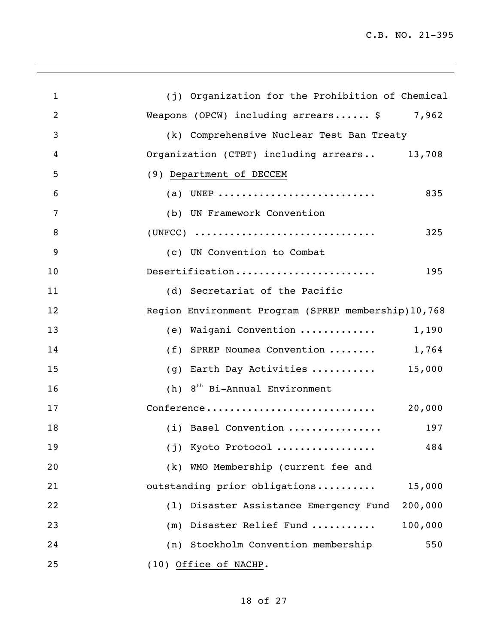| $\mathbf{1}$   | (j) Organization for the Prohibition of Chemical        |
|----------------|---------------------------------------------------------|
| $\overline{2}$ | Weapons (OPCW) including $arrears \ldots$ . \$<br>7,962 |
| 3              | (k) Comprehensive Nuclear Test Ban Treaty               |
| 4              | Organization (CTBT) including arrears 13,708            |
| 5              | (9) Department of DECCEM                                |
| 6              | (a) UNEP<br>835                                         |
| 7              | (b) UN Framework Convention                             |
| 8              | $(UNFCC)$<br>325                                        |
| 9              | (c) UN Convention to Combat                             |
| 10             | Desertification<br>195                                  |
| 11             | (d) Secretariat of the Pacific                          |
| 12             | Region Environment Program (SPREP membership) 10,768    |
| 13             | (e) Waigani Convention<br>1,190                         |
| 14             | (f) SPREP Noumea Convention  1,764                      |
| 15             | (g) Earth Day Activities $15,000$                       |
| 16             | $(h)$ 8 <sup>th</sup> Bi-Annual Environment             |
| 17             | 20,000<br>Conference                                    |
| 18             | (i) Basel Convention<br>197                             |
| 19             | (j) Kyoto Protocol<br>484                               |
| 20             | (k) WMO Membership (current fee and                     |
| 21             | outstanding prior obligations<br>15,000                 |
| 22             | Disaster Assistance Emergency Fund<br>200,000<br>(1)    |
| 23             | (m) Disaster Relief Fund<br>100,000                     |
| 24             | (n) Stockholm Convention membership<br>550              |
| 25             | (10) Office of NACHP.                                   |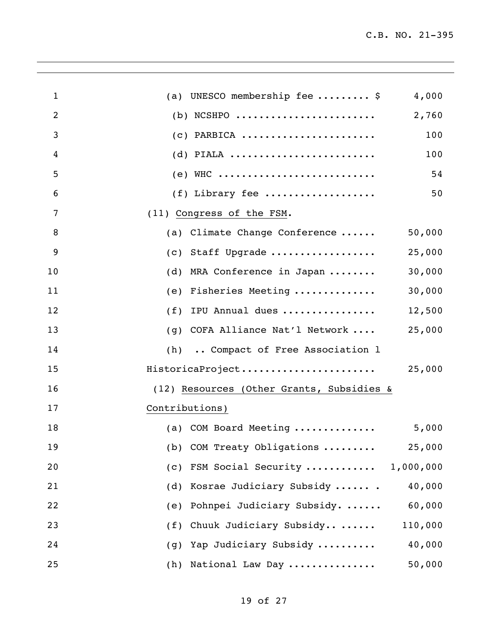| $\mathbf 1$    | (a) UNESCO membership fee  \$<br>4,000       |
|----------------|----------------------------------------------|
| $\overline{2}$ | $(b)$ NCSHPO<br>2,760                        |
| 3              | $(c)$ PARBICA<br>100                         |
| 4              | $(d)$ PIALA<br>100                           |
| 5              | 54                                           |
| 6              | $(f)$ Library fee<br>50                      |
| 7              | (11) Congress of the FSM.                    |
| 8              | (a) Climate Change Conference<br>50,000      |
| 9              | (c) Staff Upgrade<br>25,000                  |
| 10             | 30,000<br>MRA Conference in Japan<br>(d)     |
| 11             | Fisheries Meeting<br>30,000<br>(e)           |
| 12             | 12,500<br>IPU Annual dues<br>(f)             |
| 13             | 25,000<br>(g) COFA Alliance Nat'l Network    |
| 14             | (h)  Compact of Free Association 1           |
| 15             | HistoricaProject<br>25,000                   |
| 16             | (12) Resources (Other Grants, Subsidies &    |
| 17             | Contributions)                               |
| 18             | (a) COM Board Meeting<br>5,000               |
| 19             | (b) COM Treaty Obligations<br>25,000         |
| 20             | (c) FSM Social Security<br>1,000,000         |
| 21             | Kosrae Judiciary Subsidy  .<br>40,000<br>(d) |
| 22             | Pohnpei Judiciary Subsidy.<br>60,000<br>(e)  |
| 23             | Chuuk Judiciary Subsidy<br>110,000<br>(f)    |
| 24             | Yap Judiciary Subsidy<br>40,000<br>(g)       |
| 25             | 50,000<br>National Law Day<br>(h)            |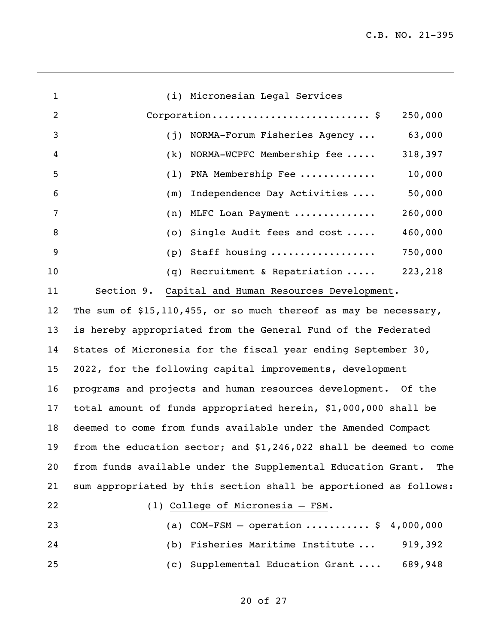| $\mathbf{1}$   | (i) Micronesian Legal Services                                     |         |
|----------------|--------------------------------------------------------------------|---------|
| $\overline{2}$ |                                                                    | 250,000 |
| 3              | (j) NORMA-Forum Fisheries Agency                                   | 63,000  |
| 4              | $(k)$ NORMA-WCPFC Membership fee                                   | 318,397 |
| 5              | PNA Membership Fee<br>(1)                                          | 10,000  |
| 6              | Independence Day Activities<br>(m)                                 | 50,000  |
| 7              | (n) MLFC Loan Payment                                              | 260,000 |
| 8              | (o) Single Audit fees and cost                                     | 460,000 |
| 9              | (p) Staff housing                                                  | 750,000 |
| 10             | (q) Recruitment & Repatriation $\ldots$ .                          | 223,218 |
| 11             | Section 9.<br>Capital and Human Resources Development.             |         |
| 12             | The sum of $$15,110,455$ , or so much thereof as may be necessary, |         |
| 13             | is hereby appropriated from the General Fund of the Federated      |         |
| 14             | States of Micronesia for the fiscal year ending September 30,      |         |
| 15             | 2022, for the following capital improvements, development          |         |
| 16             | programs and projects and human resources development. Of the      |         |
| 17             | total amount of funds appropriated herein, \$1,000,000 shall be    |         |
| 18             | deemed to come from funds available under the Amended Compact      |         |
| 19             | from the education sector; and \$1,246,022 shall be deemed to come |         |
| 20             | from funds available under the Supplemental Education Grant.       | The     |
| 21             | sum appropriated by this section shall be apportioned as follows:  |         |
| 22             | (1) College of Micronesia - FSM.                                   |         |
| 23             | (a) COM-FSM - operation  \$ 4,000,000                              |         |
| 24             | (b) Fisheries Maritime Institute                                   | 919,392 |
| 25             | (c) Supplemental Education Grant                                   | 689,948 |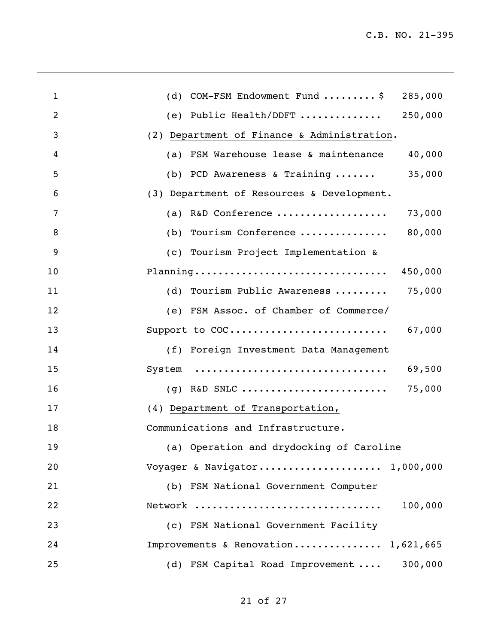| $\mathbf{1}$   | (d) COM-FSM Endowment Fund  \$<br>285,000              |
|----------------|--------------------------------------------------------|
| $\overline{2}$ | (e) Public Health/DDFT<br>250,000                      |
| 3              | (2) Department of Finance & Administration.            |
| 4              | (a) FSM Warehouse lease & maintenance<br>40,000        |
| 5              | (b) PCD Awareness & Training $\ldots \ldots$<br>35,000 |
| 6              | (3) Department of Resources & Development.             |
| 7              | (a) R&D Conference<br>73,000                           |
| 8              | 80,000<br>(b) Tourism Conference                       |
| 9              | (c) Tourism Project Implementation &                   |
| 10             | Planning<br>450,000                                    |
| 11             | 75,000<br>(d) Tourism Public Awareness                 |
| 12             | (e) FSM Assoc. of Chamber of Commerce/                 |
| 13             | Support to COC<br>67,000                               |
| 14             | (f) Foreign Investment Data Management                 |
| 15             | 69,500<br>System                                       |
| 16             | 75,000<br>$(g)$ R&D SNLC                               |
| 17             | (4) Department of Transportation,                      |
| 18             | Communications and Infrastructure.                     |
| 19             | (a) Operation and drydocking of Caroline               |
| 20             | Voyager & Navigator 1,000,000                          |
| 21             | (b) FSM National Government Computer                   |
| 22             | Network<br>100,000                                     |
| 23             | (c) FSM National Government Facility                   |
| 24             | Improvements & Renovation 1,621,665                    |
| 25             | 300,000<br>(d) FSM Capital Road Improvement            |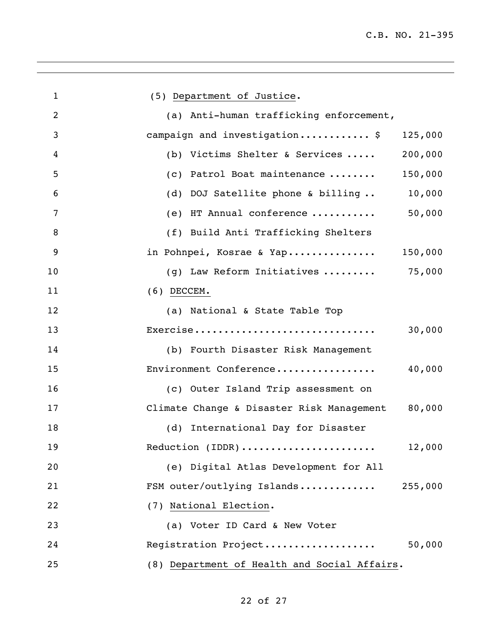| $\mathbf{1}$   | (5) Department of Justice.                               |
|----------------|----------------------------------------------------------|
| $\overline{2}$ | (a) Anti-human trafficking enforcement,                  |
| 3              | campaign and investigation \$<br>125,000                 |
| 4              | (b) Victims Shelter & Services<br>200,000                |
| 5              | (c) Patrol Boat maintenance<br>150,000                   |
| 6              | (d) DOJ Satellite phone & billing<br>10,000              |
| 7              | 50,000<br>(e) HT Annual conference                       |
| 8              | (f) Build Anti Trafficking Shelters                      |
| 9              | in Pohnpei, Kosrae & Yap<br>150,000                      |
| 10             | (g) Law Reform Initiatives $\ldots \ldots \ldots$ 75,000 |
| 11             | $(6)$ DECCEM.                                            |
| 12             | (a) National & State Table Top                           |
| 13             | Exercise<br>30,000                                       |
| 14             | (b) Fourth Disaster Risk Management                      |
| 15             | Environment Conference<br>40,000                         |
| 16             | (c) Outer Island Trip assessment on                      |
| 17             | Climate Change & Disaster Risk Management 80,000         |
| 18             | (d) International Day for Disaster                       |
| 19             | Reduction (IDDR)<br>12,000                               |
| 20             | (e) Digital Atlas Development for All                    |
| 21             | FSM outer/outlying Islands<br>255,000                    |
| 22             | (7) National Election.                                   |
| 23             | (a) Voter ID Card & New Voter                            |
| 24             | Registration Project<br>50,000                           |
| 25             | (8) Department of Health and Social Affairs.             |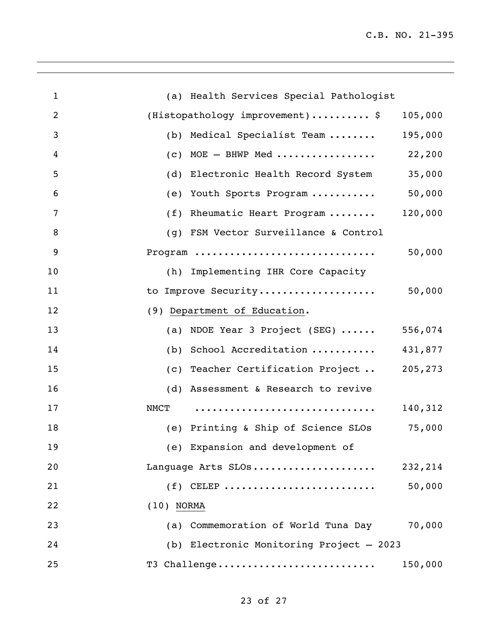| $\mathbf{1}$   | (a) Health Services Special Pathologist        |
|----------------|------------------------------------------------|
| $\overline{2}$ | (Histopathology improvement)\$<br>105,000      |
| 3              | (b) Medical Specialist Team<br>195,000         |
| 4              | $(c)$ MOE $-$ BHWP Med<br>22,200               |
| 5              | (d) Electronic Health Record System<br>35,000  |
| 6              | (e) Youth Sports Program  50,000               |
| 7              | (f) Rheumatic Heart Program<br>120,000         |
| 8              | (g) FSM Vector Surveillance & Control          |
| 9              | 50,000<br>Program                              |
| 10             | (h) Implementing IHR Core Capacity             |
| 11             | to Improve Security 50,000                     |
| 12             | (9) Department of Education.                   |
| 13             | (a) NDOE Year 3 Project (SEG) $\ldots$ 556,074 |
| 14             | (b) School Accreditation<br>431,877            |
| 15             | (c) Teacher Certification Project<br>205,273   |
| 16             | (d) Assessment & Research to revive            |
| 17             | 140,312<br>NMCT                                |
| 18             | (e) Printing & Ship of Science SLOs<br>75,000  |
| 19             | (e) Expansion and development of               |
| 20             | Language Arts SLOs<br>232,214                  |
| 21             | $(f)$ CELEP<br>50,000                          |
| 22             | $(10)$ NORMA                                   |
| 23             | (a) Commemoration of World Tuna Day<br>70,000  |
| 24             | (b) Electronic Monitoring Project - 2023       |
| 25             | T3 Challenge<br>150,000                        |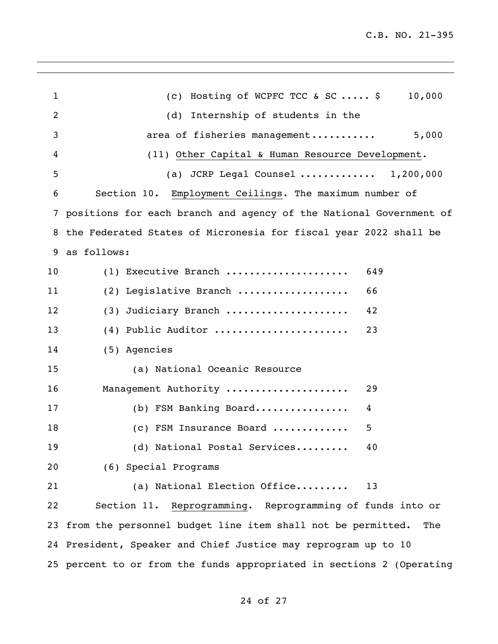| $\mathbf{1}$ | (c) Hosting of WCPFC TCC & SC $\frac{1}{2}$<br>10,000                 |
|--------------|-----------------------------------------------------------------------|
| 2            | (d) Internship of students in the                                     |
| 3            | area of fisheries management<br>5,000                                 |
| 4            | (11) Other Capital & Human Resource Development.                      |
| 5            | (a) JCRP Legal Counsel $1,200,000$                                    |
| 6            | Section 10. Employment Ceilings. The maximum number of                |
|              | 7 positions for each branch and agency of the National Government of  |
|              | 8 the Federated States of Micronesia for fiscal year 2022 shall be    |
| 9            | as follows:                                                           |
| 10           | (1) Executive Branch<br>649                                           |
| 11           | (2) Legislative Branch<br>66                                          |
| 12           | Judiciary Branch<br>42<br>(3)                                         |
| 13           | $(4)$ Public Auditor<br>23                                            |
| 14           | (5) Agencies                                                          |
| 15           | (a) National Oceanic Resource                                         |
| 16           | Management Authority<br>29                                            |
| 17           | (b) FSM Banking Board<br>4                                            |
| 18           | (c) FSM Insurance Board<br>5                                          |
| 19           | (d) National Postal Services<br>40.                                   |
| 20           | (6) Special Programs                                                  |
| 21           | (a) National Election Office<br>13                                    |
| 22           | Section 11. Reprogramming. Reprogramming of funds into or             |
| 23           | from the personnel budget line item shall not be permitted.<br>The    |
|              | 24 President, Speaker and Chief Justice may reprogram up to 10        |
|              | 25 percent to or from the funds appropriated in sections 2 (Operating |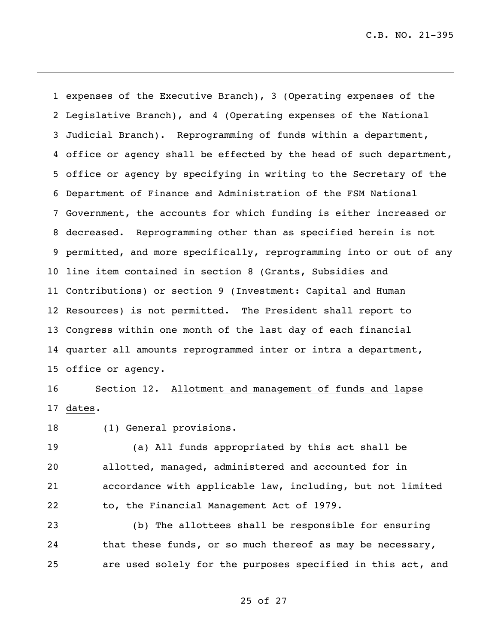expenses of the Executive Branch), 3 (Operating expenses of the Legislative Branch), and 4 (Operating expenses of the National Judicial Branch). Reprogramming of funds within a department, office or agency shall be effected by the head of such department, office or agency by specifying in writing to the Secretary of the Department of Finance and Administration of the FSM National Government, the accounts for which funding is either increased or decreased. Reprogramming other than as specified herein is not permitted, and more specifically, reprogramming into or out of any line item contained in section 8 (Grants, Subsidies and Contributions) or section 9 (Investment: Capital and Human Resources) is not permitted. The President shall report to Congress within one month of the last day of each financial quarter all amounts reprogrammed inter or intra a department, office or agency.

 Section 12. Allotment and management of funds and lapse dates.

(1) General provisions.

 (a) All funds appropriated by this act shall be allotted, managed, administered and accounted for in accordance with applicable law, including, but not limited to, the Financial Management Act of 1979.

 (b) The allottees shall be responsible for ensuring 24 that these funds, or so much thereof as may be necessary, are used solely for the purposes specified in this act, and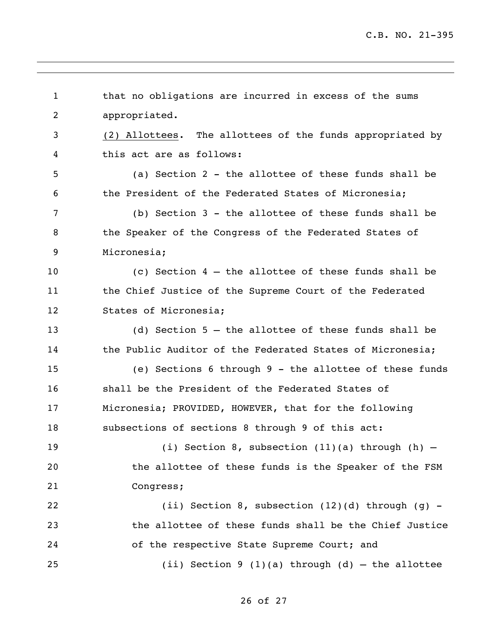| $\mathbf{1}$ | that no obligations are incurred in excess of the sums    |
|--------------|-----------------------------------------------------------|
| 2            | appropriated.                                             |
| 3            | (2) Allottees. The allottees of the funds appropriated by |
| 4            | this act are as follows:                                  |
| 5            | (a) Section 2 - the allottee of these funds shall be      |
| 6            | the President of the Federated States of Micronesia;      |
| 7            | (b) Section 3 - the allottee of these funds shall be      |
| 8            | the Speaker of the Congress of the Federated States of    |
| 9            | Micronesia;                                               |
| 10           | (c) Section $4$ - the allottee of these funds shall be    |
| 11           | the Chief Justice of the Supreme Court of the Federated   |
| 12           | States of Micronesia;                                     |
| 13           | (d) Section $5$ - the allottee of these funds shall be    |
| 14           | the Public Auditor of the Federated States of Micronesia; |
| 15           | (e) Sections 6 through 9 - the allottee of these funds    |
| 16           | shall be the President of the Federated States of         |
| 17           | Micronesia; PROVIDED, HOWEVER, that for the following     |
| 18           | subsections of sections 8 through 9 of this act:          |
| 19           | (i) Section 8, subsection $(11)(a)$ through $(h)$ -       |
| 20           | the allottee of these funds is the Speaker of the FSM     |
| 21           | Congress;                                                 |
| 22           | (ii) Section 8, subsection $(12)(d)$ through $(g)$ -      |
| 23           | the allottee of these funds shall be the Chief Justice    |
| 24           | of the respective State Supreme Court; and                |
| 25           | (ii) Section 9 (1)(a) through (d) - the allottee          |